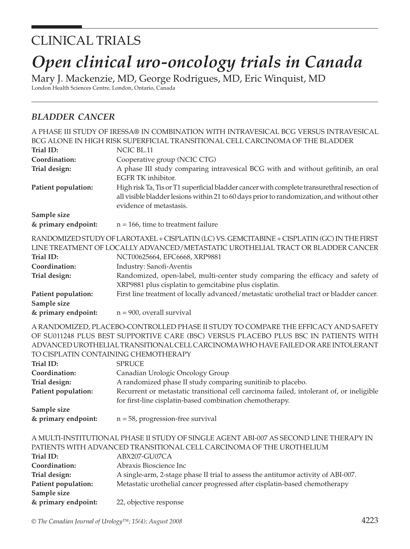## CLINICAL TRIALS

# *Open clinical uro-oncology trials in Canada*

Mary J. Mackenzie, MD, George Rodrigues, MD, Eric Winquist, MD London Health Sciences Centre, London, Ontario, Canada

### *BLADDER CANCER*

|                                                                                   | A PHASE III STUDY OF IRESSA® IN COMBINATION WITH INTRAVESICAL BCG VERSUS INTRAVESICAL                                                                                                                                                                                                                                                                                        |
|-----------------------------------------------------------------------------------|------------------------------------------------------------------------------------------------------------------------------------------------------------------------------------------------------------------------------------------------------------------------------------------------------------------------------------------------------------------------------|
|                                                                                   | BCG ALONE IN HIGH RISK SUPERFICIAL TRANSITIONAL CELL CARCINOMA OF THE BLADDER                                                                                                                                                                                                                                                                                                |
| Trial ID:                                                                         | NCIC BL.11                                                                                                                                                                                                                                                                                                                                                                   |
| Coordination:                                                                     | Cooperative group (NCIC CTG)                                                                                                                                                                                                                                                                                                                                                 |
| Trial design:                                                                     | A phase III study comparing intravesical BCG with and without gefitinib, an oral<br>EGFR TK inhibitor.                                                                                                                                                                                                                                                                       |
| Patient population:                                                               | High risk Ta, Tis or T1 superficial bladder cancer with complete transurethral resection of<br>all visible bladder lesions within 21 to 60 days prior to randomization, and without other<br>evidence of metastasis.                                                                                                                                                         |
| Sample size                                                                       |                                                                                                                                                                                                                                                                                                                                                                              |
| & primary endpoint:                                                               | $n = 166$ , time to treatment failure                                                                                                                                                                                                                                                                                                                                        |
| Trial ID:<br>Coordination:                                                        | RANDOMIZED STUDY OF LAROTAXEL + CISPLATIN (LC) VS. GEMCITABINE + CISPLATIN (GC) IN THE FIRST<br>LINE TREATMENT OF LOCALLY ADVANCED/METASTATIC UROTHELIAL TRACT OR BLADDER CANCER<br>NCT00625664, EFC6668, XRP9881<br>Industry: Sanofi-Aventis                                                                                                                                |
|                                                                                   | Randomized, open-label, multi-center study comparing the efficacy and safety of                                                                                                                                                                                                                                                                                              |
| Trial design:                                                                     | XRP9881 plus cisplatin to gemcitabine plus cisplatin.                                                                                                                                                                                                                                                                                                                        |
| Patient population:                                                               | First line treatment of locally advanced/metastatic urothelial tract or bladder cancer.                                                                                                                                                                                                                                                                                      |
| Sample size                                                                       |                                                                                                                                                                                                                                                                                                                                                                              |
| & primary endpoint:                                                               | $n = 900$ , overall survival                                                                                                                                                                                                                                                                                                                                                 |
| TO CISPLATIN CONTAINING CHEMOTHERAPY<br>Trial ID:                                 | A RANDOMIZED, PLACEBO-CONTROLLED PHASE II STUDY TO COMPARE THE EFFICACY AND SAFETY<br>OF SU011248 PLUS BEST SUPPORTIVE CARE (BSC) VERSUS PLACEBO PLUS BSC IN PATIENTS WITH<br>ADVANCED UROTHELIAL TRANSITIONAL CELL CARCINOMA WHO HAVE FAILED OR ARE INTOLERANT<br><b>SPRUCE</b>                                                                                             |
| Coordination:                                                                     | Canadian Urologic Oncology Group                                                                                                                                                                                                                                                                                                                                             |
| Trial design:                                                                     | A randomized phase II study comparing sunitinib to placebo.                                                                                                                                                                                                                                                                                                                  |
| Patient population:                                                               | Recurrent or metastatic transitional cell carcinoma failed, intolerant of, or ineligible<br>for first-line cisplatin-based combination chemotherapy.                                                                                                                                                                                                                         |
| Sample size                                                                       |                                                                                                                                                                                                                                                                                                                                                                              |
| & primary endpoint:                                                               | $n = 58$ , progression-free survival                                                                                                                                                                                                                                                                                                                                         |
|                                                                                   |                                                                                                                                                                                                                                                                                                                                                                              |
| Trial ID:<br>Coordination:<br>Trial design:<br>Patient population:<br>Sample size | A MULTI-INSTITUTIONAL PHASE II STUDY OF SINGLE AGENT ABI-007 AS SECOND LINE THERAPY IN<br>PATIENTS WITH ADVANCED TRANSITIONAL CELL CARCINOMA OF THE UROTHELIUM<br>ABX207-GU07CA<br>Abraxis Bioscience Inc<br>A single-arm, 2-stage phase II trial to assess the antitumor activity of ABI-007.<br>Metastatic urothelial cancer progressed after cisplatin-based chemotherapy |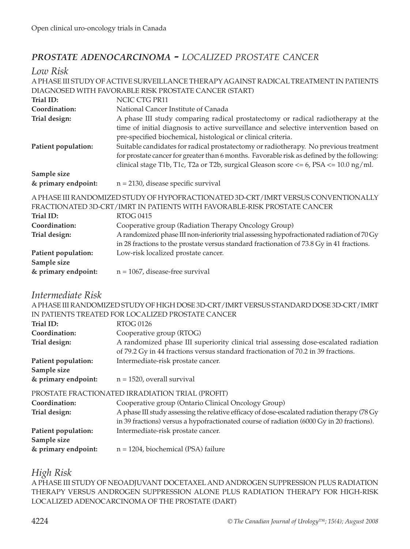## *PROSTATE ADENOCARCINOMA - LOCALIZED PROSTATE CANCER*

#### *Low Risk*

|                                                       | A PHASE III STUDY OF ACTIVE SURVEILLANCE THERAPY AGAINST RADICAL TREATMENT IN PATIENTS<br>DIAGNOSED WITH FAVORABLE RISK PROSTATE CANCER (START)                                                                                                                                                                                                                                                                                 |
|-------------------------------------------------------|---------------------------------------------------------------------------------------------------------------------------------------------------------------------------------------------------------------------------------------------------------------------------------------------------------------------------------------------------------------------------------------------------------------------------------|
| Trial ID:                                             | NCIC CTG PR11                                                                                                                                                                                                                                                                                                                                                                                                                   |
| Coordination:                                         | National Cancer Institute of Canada                                                                                                                                                                                                                                                                                                                                                                                             |
| Trial design:<br>Patient population:                  | A phase III study comparing radical prostatectomy or radical radiotherapy at the<br>time of initial diagnosis to active surveillance and selective intervention based on<br>pre-specified biochemical, histological or clinical criteria.<br>Suitable candidates for radical prostatectomy or radiotherapy. No previous treatment<br>for prostate cancer for greater than 6 months. Favorable risk as defined by the following: |
|                                                       | clinical stage T1b, T1c, T2a or T2b, surgical Gleason score <= 6, PSA <= 10.0 ng/ml.                                                                                                                                                                                                                                                                                                                                            |
| Sample size                                           |                                                                                                                                                                                                                                                                                                                                                                                                                                 |
| & primary endpoint:                                   | $n = 2130$ , disease specific survival                                                                                                                                                                                                                                                                                                                                                                                          |
| Trial ID:                                             | A PHASE III RANDOMIZED STUDY OF HYPOFRACTIONATED 3D-CRT/IMRT VERSUS CONVENTIONALLY<br>FRACTIONATED 3D-CRT/IMRT IN PATIENTS WITH FAVORABLE-RISK PROSTATE CANCER<br><b>RTOG 0415</b>                                                                                                                                                                                                                                              |
| Coordination:<br>Trial design:                        | Cooperative group (Radiation Therapy Oncology Group)<br>A randomized phase III non-inferiority trial assessing hypofractionated radiation of 70 Gy<br>in 28 fractions to the prostate versus standard fractionation of 73.8 Gy in 41 fractions.                                                                                                                                                                                 |
| Patient population:<br>Sample size                    | Low-risk localized prostate cancer.                                                                                                                                                                                                                                                                                                                                                                                             |
| & primary endpoint:                                   | $n = 1067$ , disease-free survival                                                                                                                                                                                                                                                                                                                                                                                              |
| Intermediate Risk<br>Trial ID:                        | A PHASE III RANDOMIZED STUDY OF HIGH DOSE 3D-CRT/IMRT VERSUS STANDARD DOSE 3D-CRT/IMRT<br>IN PATIENTS TREATED FOR LOCALIZED PROSTATE CANCER<br><b>RTOG 0126</b>                                                                                                                                                                                                                                                                 |
| Coordination:<br>Trial design:                        | Cooperative group (RTOG)<br>A randomized phase III superiority clinical trial assessing dose-escalated radiation<br>of 79.2 Gy in 44 fractions versus standard fractionation of 70.2 in 39 fractions.                                                                                                                                                                                                                           |
| Patient population:<br>Sample size                    | Intermediate-risk prostate cancer.                                                                                                                                                                                                                                                                                                                                                                                              |
| & primary endpoint:                                   | $n = 1520$ , overall survival                                                                                                                                                                                                                                                                                                                                                                                                   |
| Coordination:<br>Trial design:<br>Patient population: | PROSTATE FRACTIONATED IRRADIATION TRIAL (PROFIT)<br>Cooperative group (Ontario Clinical Oncology Group)<br>A phase III study assessing the relative efficacy of dose-escalated radiation therapy (78 Gy<br>in 39 fractions) versus a hypofractionated course of radiation (6000 Gy in 20 fractions).<br>Intermediate-risk prostate cancer.                                                                                      |
| Sample size                                           |                                                                                                                                                                                                                                                                                                                                                                                                                                 |

#### *High Risk*

A PHASE III STUDY OF NEOADJUVANT DOCETAXEL AND ANDROGEN SUPPRESSION PLUS RADIATION THERAPY VERSUS ANDROGEN SUPPRESSION ALONE PLUS RADIATION THERAPY FOR HIGH-RISK LOCALIZED ADENOCARCINOMA OF THE PROSTATE (DART)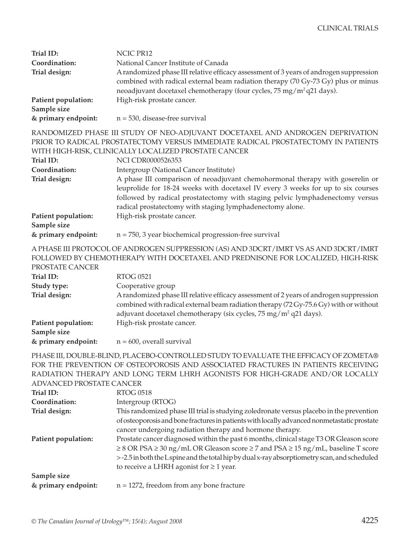| Trial ID:           | NCIC PR12                                                                              |
|---------------------|----------------------------------------------------------------------------------------|
| Coordination:       | National Cancer Institute of Canada                                                    |
| Trial design:       | A randomized phase III relative efficacy assessment of 3 years of androgen suppression |
|                     | combined with radical external beam radiation therapy (70 Gy-73 Gy) plus or minus      |
|                     | neoadjuvant docetaxel chemotherapy (four cycles, $75 \text{ mg/m}^2$ q21 days).        |
| Patient population: | High-risk prostate cancer.                                                             |
| Sample size         |                                                                                        |
| & primary endpoint: | $n = 530$ , disease-free survival                                                      |

RANDOMIZED PHASE III STUDY OF NEO-ADJUVANT DOCETAXEL AND ANDROGEN DEPRIVATION PRIOR TO RADICAL PROSTATECTOMY VERSUS IMMEDIATE RADICAL PROSTATECTOMY IN PATIENTS WITH HIGH-RISK, CLINICALLY LOCALIZED PROSTATE CANCER

| Trial ID:           | NCI CDR0000526353                                                                |
|---------------------|----------------------------------------------------------------------------------|
| Coordination:       | Intergroup (National Cancer Institute)                                           |
| Trial design:       | A phase III comparison of neoadjuvant chemohormonal therapy with goserelin or    |
|                     | leuprolide for 18-24 weeks with docetaxel IV every 3 weeks for up to six courses |
|                     | followed by radical prostatectomy with staging pelvic lymphadenectomy versus     |
|                     | radical prostatectomy with staging lymphadenectomy alone.                        |
| Patient population: | High-risk prostate cancer.                                                       |
| Sample size         |                                                                                  |
| & primary endpoint: | $n = 750$ , 3 year biochemical progression-free survival                         |

#### A PHASE III PROTOCOL OF ANDROGEN SUPPRESSION (AS) AND 3DCRT/IMRT VS AS AND 3DCRT/IMRT FOLLOWED BY CHEMOTHERAPY WITH DOCETAXEL AND PREDNISONE FOR LOCALIZED, HIGH-RISK

| PROSTATE CANCER     |                                                                                        |
|---------------------|----------------------------------------------------------------------------------------|
| Trial ID:           | <b>RTOG 0521</b>                                                                       |
| Study type:         | Cooperative group                                                                      |
| Trial design:       | A randomized phase III relative efficacy assessment of 2 years of androgen suppression |
|                     | combined with radical external beam radiation therapy (72 Gy-75.6 Gy) with or without  |
|                     | adjuvant docetaxel chemotherapy (six cycles, 75 mg/m <sup>2</sup> q21 days).           |
| Patient population: | High-risk prostate cancer.                                                             |
| Sample size         |                                                                                        |
| & primary endpoint: | $n = 600$ , overall survival                                                           |

PHASE III, DOUBLE-BLIND, PLACEBO-CONTROLLED STUDY TO EVALUATE THE EFFICACY OF ZOMETA® FOR THE PREVENTION OF OSTEOPOROSIS AND ASSOCIATED FRACTURES IN PATIENTS RECEIVING RADIATION THERAPY AND LONG TERM LHRH AGONISTS FOR HIGH-GRADE AND/OR LOCALLY ADVANCED PROSTATE CANCER

| AD VAINCED I ROSIAIL CAINCER |                                                                                                     |
|------------------------------|-----------------------------------------------------------------------------------------------------|
| Trial ID:                    | RTOG 0518                                                                                           |
| Coordination:                | Intergroup (RTOG)                                                                                   |
| Trial design:                | This randomized phase III trial is studying zoledronate versus placebo in the prevention            |
|                              | of osteoporosis and bone fractures in patients with locally advanced nonmetastatic prostate         |
|                              | cancer undergoing radiation therapy and hormone therapy.                                            |
| Patient population:          | Prostate cancer diagnosed within the past 6 months, clinical stage T3 OR Gleason score              |
|                              | $\geq$ 8 OR PSA $\geq$ 30 ng/mL OR Gleason score $\geq$ 7 and PSA $\geq$ 15 ng/mL, baseline T score |
|                              | >-2.5 in both the L spine and the total hip by dual x-ray absorptiometry scan, and scheduled        |
|                              | to receive a LHRH agonist for $\geq 1$ year.                                                        |
| Sample size                  |                                                                                                     |
| & primary endpoint:          | $n = 1272$ , freedom from any bone fracture                                                         |
|                              |                                                                                                     |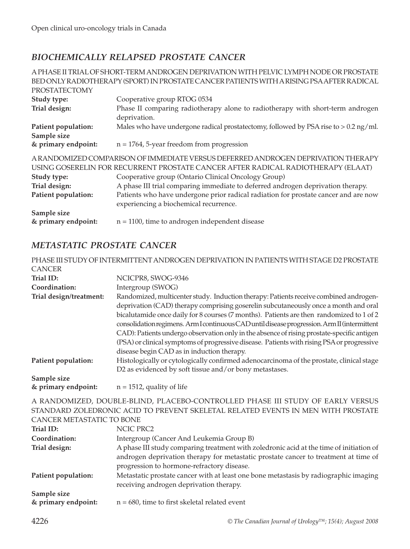## *BIOCHEMICALLY RELAPSED PROSTATE CANCER*

#### A PHASE II TRIAL OF SHORT-TERM ANDROGEN DEPRIVATION WITH PELVIC LYMPH NODE OR PROSTATE BED ONLY RADIOTHERAPY (SPORT) IN PROSTATE CANCER PATIENTS WITH A RISING PSA AFTER RADICAL PROSTATECTOMY

| T NUƏTATEU I UNI I  |                                                                                                |
|---------------------|------------------------------------------------------------------------------------------------|
| Study type:         | Cooperative group RTOG 0534                                                                    |
| Trial design:       | Phase II comparing radiotherapy alone to radiotherapy with short-term androgen<br>deprivation. |
| Patient population: | Males who have undergone radical prostatectomy, followed by PSA rise to $> 0.2$ ng/ml.         |
| Sample size         |                                                                                                |
| & primary endpoint: | $n = 1764$ , 5-year freedom from progression                                                   |
|                     | A RANDOMIZED COMPARISON OF IMMEDIATE VERSUS DEFERRED ANDROGEN DEPRIVATION THERAPY              |
|                     | USING GOSERELIN FOR RECURRENT PROSTATE CANCER AFTER RADICAL RADIOTHERAPY (ELAAT)               |
| Study type:         | Cooperative group (Ontario Clinical Oncology Group)                                            |
| Trial design:       | A phase III trial comparing immediate to deferred androgen deprivation therapy.                |
| Patient population: | Patients who have undergone prior radical radiation for prostate cancer and are now            |
|                     | experiencing a biochemical recurrence.                                                         |
| Sample size         |                                                                                                |
| & primary endpoint: | $n = 1100$ , time to androgen independent disease                                              |

#### *METASTATIC PROSTATE CANCER*

|                         | PHASE III STUDY OF INTERMITTENT ANDROGEN DEPRIVATION IN PATIENTS WITH STAGE D2 PROSTATE                                                                                                                                                                                                                                                                                                                                                                                                                                                                                                                            |
|-------------------------|--------------------------------------------------------------------------------------------------------------------------------------------------------------------------------------------------------------------------------------------------------------------------------------------------------------------------------------------------------------------------------------------------------------------------------------------------------------------------------------------------------------------------------------------------------------------------------------------------------------------|
| <b>CANCER</b>           |                                                                                                                                                                                                                                                                                                                                                                                                                                                                                                                                                                                                                    |
| Trial ID:               | NCICPR8, SWOG-9346                                                                                                                                                                                                                                                                                                                                                                                                                                                                                                                                                                                                 |
| Coordination:           | Intergroup (SWOG)                                                                                                                                                                                                                                                                                                                                                                                                                                                                                                                                                                                                  |
| Trial design/treatment: | Randomized, multicenter study. Induction therapy: Patients receive combined androgen-<br>deprivation (CAD) therapy comprising goserelin subcutaneously once a month and oral<br>bicalutamide once daily for 8 courses (7 months). Patients are then randomized to 1 of 2<br>consolidation regimens. Arm I continuous CAD until disease progression. Arm II (intermittent<br>CAD): Patients undergo observation only in the absence of rising prostate-specific antigen<br>(PSA) or clinical symptoms of progressive disease. Patients with rising PSA or progressive<br>disease begin CAD as in induction therapy. |
| Patient population:     | Histologically or cytologically confirmed adenocarcinoma of the prostate, clinical stage<br>D2 as evidenced by soft tissue and/or bony metastases.                                                                                                                                                                                                                                                                                                                                                                                                                                                                 |
| Sample size             |                                                                                                                                                                                                                                                                                                                                                                                                                                                                                                                                                                                                                    |
| & primary endpoint:     | $n = 1512$ , quality of life                                                                                                                                                                                                                                                                                                                                                                                                                                                                                                                                                                                       |

A RANDOMIZED, DOUBLE-BLIND, PLACEBO-CONTROLLED PHASE III STUDY OF EARLY VERSUS STANDARD ZOLEDRONIC ACID TO PREVENT SKELETAL RELATED EVENTS IN MEN WITH PROSTATE CANCER METASTATIC TO BONE

| Trial ID:                          | NCIC PRC2                                                                                                                       |
|------------------------------------|---------------------------------------------------------------------------------------------------------------------------------|
| Coordination:                      | Intergroup (Cancer And Leukemia Group B)                                                                                        |
| Trial design:                      | A phase III study comparing treatment with zoledronic acid at the time of initiation of                                         |
|                                    | androgen deprivation therapy for metastatic prostate cancer to treatment at time of                                             |
|                                    | progression to hormone-refractory disease.                                                                                      |
| Patient population:                | Metastatic prostate cancer with at least one bone metastasis by radiographic imaging<br>receiving androgen deprivation therapy. |
| Sample size<br>& primary endpoint: | $n = 680$ , time to first skeletal related event                                                                                |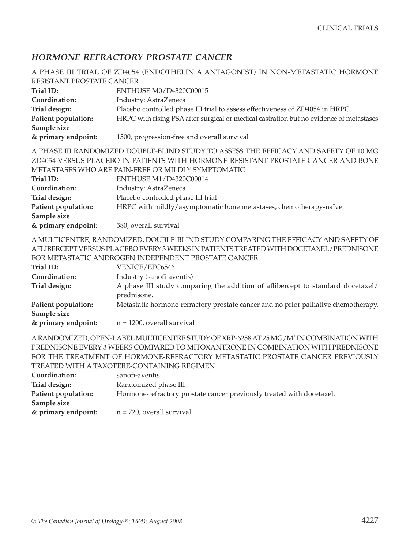#### *HORMONE REFRACTORY PROSTATE CANCER*

|                           | A PHASE III TRIAL OF ZD4054 (ENDOTHELIN A ANTAGONIST) IN NON-METASTATIC HORMONE                    |
|---------------------------|----------------------------------------------------------------------------------------------------|
| RESISTANT PROSTATE CANCER |                                                                                                    |
| Trial ID:                 |                                                                                                    |
| Coordination:             | ENTHUSE M0/D4320C00015                                                                             |
|                           | Industry: AstraZeneca                                                                              |
| Trial design:             | Placebo controlled phase III trial to assess effectiveness of ZD4054 in HRPC                       |
| Patient population:       | HRPC with rising PSA after surgical or medical castration but no evidence of metastases            |
| Sample size               |                                                                                                    |
| & primary endpoint:       | 1500, progression-free and overall survival                                                        |
|                           | A PHASE III RANDOMIZED DOUBLE-BLIND STUDY TO ASSESS THE EFFICACY AND SAFETY OF 10 MG               |
|                           | ZD4054 VERSUS PLACEBO IN PATIENTS WITH HORMONE-RESISTANT PROSTATE CANCER AND BONE                  |
|                           | METASTASES WHO ARE PAIN-FREE OR MILDLY SYMPTOMATIC                                                 |
| Trial ID:                 | ENTHUSE M1/D4320C00014                                                                             |
| Coordination:             | Industry: AstraZeneca                                                                              |
| Trial design:             | Placebo controlled phase III trial                                                                 |
| Patient population:       | HRPC with mildly/asymptomatic bone metastases, chemotherapy-naïve.                                 |
| Sample size               |                                                                                                    |
| & primary endpoint:       | 580, overall survival                                                                              |
|                           | A MULTICENTRE, RANDOMIZED, DOUBLE-BLIND STUDY COMPARING THE EFFICACY AND SAFETY OF                 |
|                           | AFLIBERCEPT VERSUS PLACEBO EVERY 3 WEEKS IN PATIENTS TREATED WITH DOCETAXEL/PREDNISONE             |
|                           | FOR METASTATIC ANDROGEN INDEPENDENT PROSTATE CANCER                                                |
| Trial ID:                 | VENICE/EFC6546                                                                                     |
| Coordination:             | Industry (sanofi-aventis)                                                                          |
| Trial design:             | A phase III study comparing the addition of aflibercept to standard docetaxel/                     |
|                           | prednisone.                                                                                        |
| Patient population:       | Metastatic hormone-refractory prostate cancer and no prior palliative chemotherapy.                |
| Sample size               |                                                                                                    |
| & primary endpoint:       | $n = 1200$ , overall survival                                                                      |
|                           | A RANDOMIZED, OPEN-LABEL MULTICENTRE STUDY OF XRP-6258 AT 25 MG/M <sup>2</sup> IN COMBINATION WITH |
|                           | PREDNISONE EVERY 3 WEEKS COMPARED TO MITOXANTRONE IN COMBINATION WITH PREDNISONE                   |
|                           | FOR THE TREATMENT OF HORMONE-REFRACTORY METASTATIC PROSTATE CANCER PREVIOUSLY                      |
|                           | TREATED WITH A TAXOTERE-CONTAINING REGIMEN                                                         |
| Coordination:             | sanofi-aventis                                                                                     |
| Trial design:             | Randomized phase III                                                                               |
| Patient population:       | Hormone-refractory prostate cancer previously treated with docetaxel.                              |
| Sample size               |                                                                                                    |
| & primary endpoint:       | $n = 720$ , overall survival                                                                       |